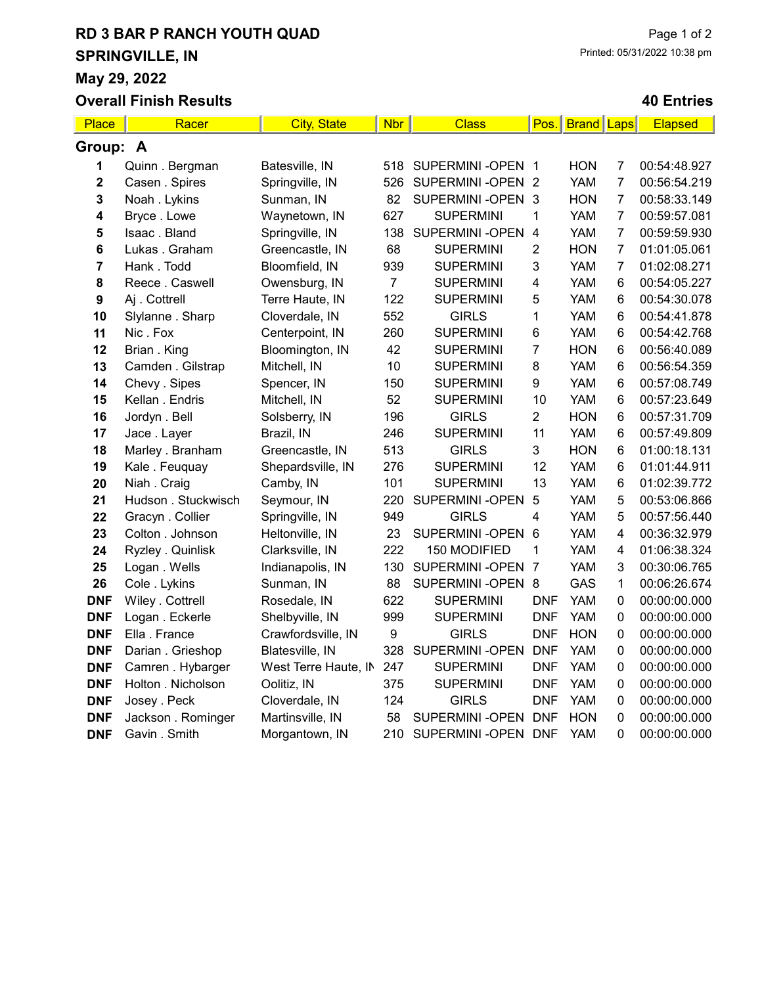# RD 3 BAR P RANCH YOUTH QUAD SPRINGVILLE, IN

May 29, 2022 Overall Finish Results

#### 40 Entries

| Place            | Racer               | <b>City, State</b>   | <b>Nbr</b>     | <b>Class</b>     | Pos.                    | <b>Brand Laps</b> |                 | <b>Elapsed</b> |  |  |
|------------------|---------------------|----------------------|----------------|------------------|-------------------------|-------------------|-----------------|----------------|--|--|
| Group: A         |                     |                      |                |                  |                         |                   |                 |                |  |  |
| 1                | Quinn . Bergman     | Batesville, IN       | 518            | SUPERMINI-OPEN 1 |                         | <b>HON</b>        | 7               | 00:54:48.927   |  |  |
| 2                | Casen . Spires      | Springville, IN      | 526            | SUPERMINI-OPEN 2 |                         | <b>YAM</b>        | 7               | 00:56:54.219   |  |  |
| 3                | Noah . Lykins       | Sunman, IN           | 82             | SUPERMINI-OPEN 3 |                         | <b>HON</b>        | 7               | 00:58:33.149   |  |  |
| 4                | Bryce. Lowe         | Waynetown, IN        | 627            | <b>SUPERMINI</b> | 1                       | <b>YAM</b>        | 7               | 00:59:57.081   |  |  |
| 5                | Isaac. Bland        | Springville, IN      | 138            | SUPERMINI-OPEN   | $\overline{\mathbf{4}}$ | <b>YAM</b>        | 7               | 00:59:59.930   |  |  |
| 6                | Lukas. Graham       | Greencastle, IN      | 68             | <b>SUPERMINI</b> | 2                       | <b>HON</b>        | 7               | 01:01:05.061   |  |  |
| 7                | Hank. Todd          | Bloomfield, IN       | 939            | <b>SUPERMINI</b> | 3                       | <b>YAM</b>        | 7               | 01:02:08.271   |  |  |
| 8                | Reece . Caswell     | Owensburg, IN        | $\overline{7}$ | <b>SUPERMINI</b> | 4                       | <b>YAM</b>        | $6\phantom{1}6$ | 00:54:05.227   |  |  |
| $\boldsymbol{9}$ | Aj . Cottrell       | Terre Haute, IN      | 122            | <b>SUPERMINI</b> | 5                       | <b>YAM</b>        | $6\phantom{1}6$ | 00:54:30.078   |  |  |
| 10               | Slylanne . Sharp    | Cloverdale, IN       | 552            | <b>GIRLS</b>     | 1                       | <b>YAM</b>        | $6\phantom{1}6$ | 00:54:41.878   |  |  |
| 11               | Nic. Fox            | Centerpoint, IN      | 260            | <b>SUPERMINI</b> | 6                       | <b>YAM</b>        | $6\phantom{1}6$ | 00:54:42.768   |  |  |
| 12               | Brian . King        | Bloomington, IN      | 42             | <b>SUPERMINI</b> | 7                       | <b>HON</b>        | $6\phantom{1}6$ | 00:56:40.089   |  |  |
| 13               | Camden . Gilstrap   | Mitchell, IN         | 10             | <b>SUPERMINI</b> | 8                       | <b>YAM</b>        | $6\phantom{1}6$ | 00:56:54.359   |  |  |
| 14               | Chevy . Sipes       | Spencer, IN          | 150            | <b>SUPERMINI</b> | 9                       | <b>YAM</b>        | $6\phantom{1}6$ | 00:57:08.749   |  |  |
| 15               | Kellan . Endris     | Mitchell, IN         | 52             | <b>SUPERMINI</b> | 10                      | <b>YAM</b>        | $6\phantom{1}6$ | 00:57:23.649   |  |  |
| 16               | Jordyn . Bell       | Solsberry, IN        | 196            | <b>GIRLS</b>     | $\overline{2}$          | <b>HON</b>        | $\,6$           | 00:57:31.709   |  |  |
| 17               | Jace . Layer        | Brazil, IN           | 246            | <b>SUPERMINI</b> | 11                      | <b>YAM</b>        | $\,6$           | 00:57:49.809   |  |  |
| 18               | Marley . Branham    | Greencastle, IN      | 513            | <b>GIRLS</b>     | 3                       | <b>HON</b>        | $\,6$           | 01:00:18.131   |  |  |
| 19               | Kale . Feuquay      | Shepardsville, IN    | 276            | <b>SUPERMINI</b> | 12                      | <b>YAM</b>        | $\,6$           | 01:01:44.911   |  |  |
| 20               | Niah . Craig        | Camby, IN            | 101            | <b>SUPERMINI</b> | 13                      | <b>YAM</b>        | $\,6$           | 01:02:39.772   |  |  |
| 21               | Hudson . Stuckwisch | Seymour, IN          | 220            | SUPERMINI-OPEN   | 5                       | <b>YAM</b>        | 5               | 00:53:06.866   |  |  |
| 22               | Gracyn . Collier    | Springville, IN      | 949            | <b>GIRLS</b>     | 4                       | <b>YAM</b>        | 5               | 00:57:56.440   |  |  |
| 23               | Colton . Johnson    | Heltonville, IN      | 23             | SUPERMINI-OPEN 6 |                         | <b>YAM</b>        | $\overline{4}$  | 00:36:32.979   |  |  |
| 24               | Ryzley . Quinlisk   | Clarksville, IN      | 222            | 150 MODIFIED     | 1                       | <b>YAM</b>        | $\overline{4}$  | 01:06:38.324   |  |  |
| 25               | Logan . Wells       | Indianapolis, IN     | 130            | SUPERMINI-OPEN 7 |                         | <b>YAM</b>        | 3               | 00:30:06.765   |  |  |
| 26               | Cole . Lykins       | Sunman, IN           | 88             | SUPERMINI-OPEN 8 |                         | GAS               | $\mathbf{1}$    | 00:06:26.674   |  |  |
| <b>DNF</b>       | Wiley . Cottrell    | Rosedale, IN         | 622            | <b>SUPERMINI</b> | <b>DNF</b>              | <b>YAM</b>        | $\pmb{0}$       | 00:00:00.000   |  |  |
| <b>DNF</b>       | Logan . Eckerle     | Shelbyville, IN      | 999            | <b>SUPERMINI</b> | <b>DNF</b>              | <b>YAM</b>        | $\pmb{0}$       | 00:00:00.000   |  |  |
| <b>DNF</b>       | Ella . France       | Crawfordsville, IN   | 9              | <b>GIRLS</b>     | <b>DNF</b>              | <b>HON</b>        | $\pmb{0}$       | 00:00:00.000   |  |  |
| <b>DNF</b>       | Darian . Grieshop   | Blatesville, IN      | 328            | SUPERMINI-OPEN   | <b>DNF</b>              | <b>YAM</b>        | $\pmb{0}$       | 00:00:00.000   |  |  |
| <b>DNF</b>       | Camren . Hybarger   | West Terre Haute, IN | 247            | <b>SUPERMINI</b> | <b>DNF</b>              | <b>YAM</b>        | $\pmb{0}$       | 00:00:00.000   |  |  |
| <b>DNF</b>       | Holton . Nicholson  | Oolitiz, IN          | 375            | <b>SUPERMINI</b> | <b>DNF</b>              | <b>YAM</b>        | $\mathbf 0$     | 00:00:00.000   |  |  |
| <b>DNF</b>       | Josey . Peck        | Cloverdale, IN       | 124            | <b>GIRLS</b>     | <b>DNF</b>              | <b>YAM</b>        | $\mathbf 0$     | 00:00:00.000   |  |  |
| <b>DNF</b>       | Jackson . Rominger  | Martinsville, IN     | 58             | SUPERMINI-OPEN   | <b>DNF</b>              | <b>HON</b>        | $\mathbf 0$     | 00:00:00.000   |  |  |
| <b>DNF</b>       | Gavin . Smith       | Morgantown, IN       | 210            | SUPERMINI-OPEN   | <b>DNF</b>              | <b>YAM</b>        | $\Omega$        | 00:00:00.000   |  |  |